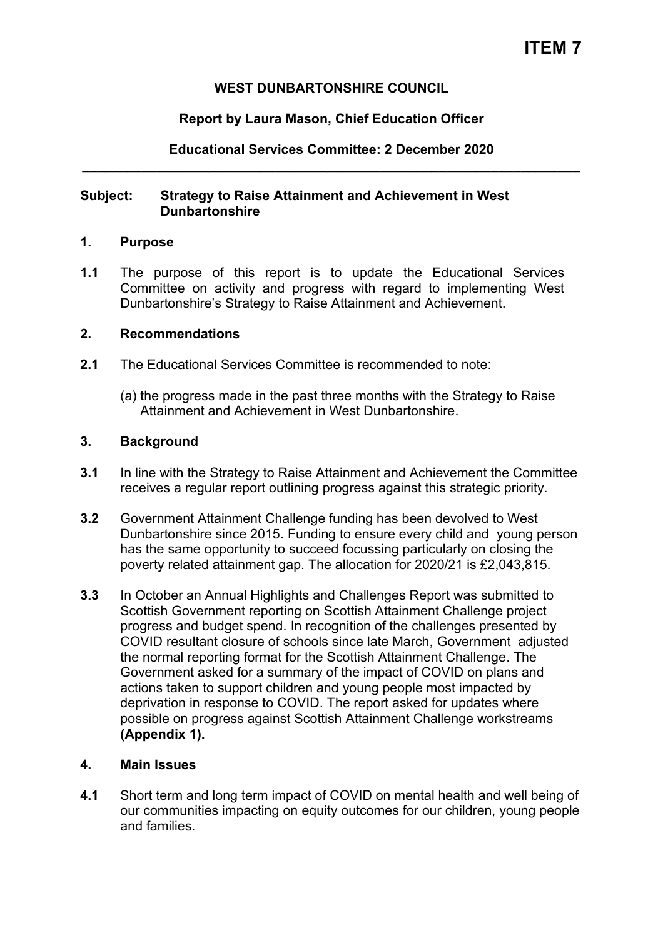## **WEST DUNBARTONSHIRE COUNCIL**

## **Report by Laura Mason, Chief Education Officer**

**Educational Services Committee: 2 December 2020 \_\_\_\_\_\_\_\_\_\_\_\_\_\_\_\_\_\_\_\_\_\_\_\_\_\_\_\_\_\_\_\_\_\_\_\_\_\_\_\_\_\_\_\_\_\_\_\_\_\_\_\_\_\_\_\_\_\_\_\_\_\_\_\_\_\_\_** 

### **Subject: Strategy to Raise Attainment and Achievement in West Dunbartonshire**

### **1. Purpose**

**1.1** The purpose of this report is to update the Educational Services Committee on activity and progress with regard to implementing West Dunbartonshire's Strategy to Raise Attainment and Achievement.

### **2. Recommendations**

- **2.1** The Educational Services Committee is recommended to note:
	- (a) the progress made in the past three months with the Strategy to Raise Attainment and Achievement in West Dunbartonshire.

### **3. Background**

- **3.1** In line with the Strategy to Raise Attainment and Achievement the Committee receives a regular report outlining progress against this strategic priority.
- **3.2** Government Attainment Challenge funding has been devolved to West Dunbartonshire since 2015. Funding to ensure every child and young person has the same opportunity to succeed focussing particularly on closing the poverty related attainment gap. The allocation for 2020/21 is £2,043,815.
- **3.3** In October an Annual Highlights and Challenges Report was submitted to Scottish Government reporting on Scottish Attainment Challenge project progress and budget spend. In recognition of the challenges presented by COVID resultant closure of schools since late March, Government adjusted the normal reporting format for the Scottish Attainment Challenge. The Government asked for a summary of the impact of COVID on plans and actions taken to support children and young people most impacted by deprivation in response to COVID. The report asked for updates where possible on progress against Scottish Attainment Challenge workstreams **(Appendix 1).**

### **4. Main Issues**

**4.1** Short term and long term impact of COVID on mental health and well being of our communities impacting on equity outcomes for our children, young people and families.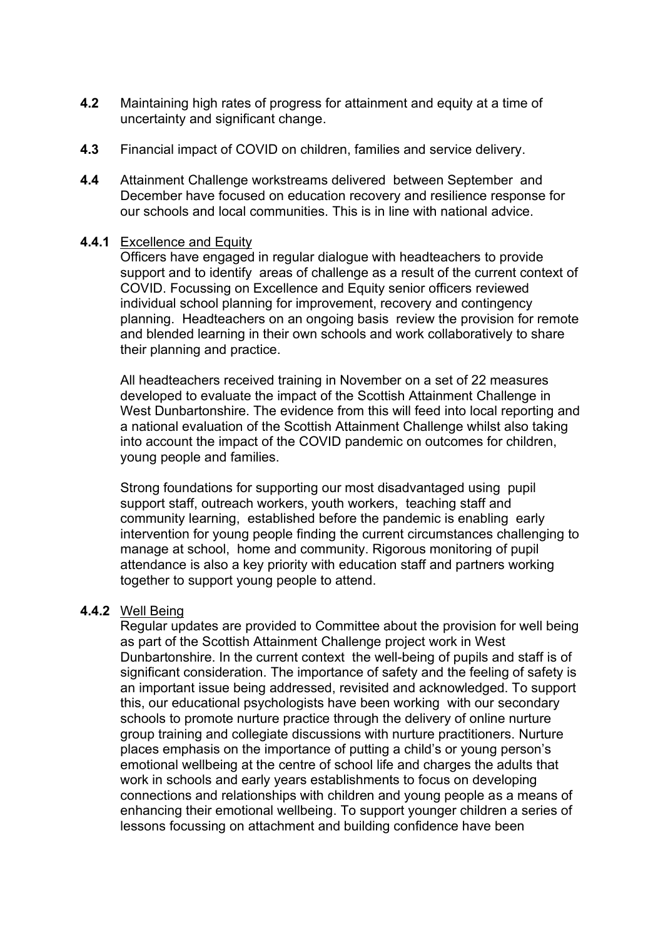- **4.2** Maintaining high rates of progress for attainment and equity at a time of uncertainty and significant change.
- **4.3** Financial impact of COVID on children, families and service delivery.
- **4.4** Attainment Challenge workstreams delivered between September and December have focused on education recovery and resilience response for our schools and local communities. This is in line with national advice.

#### **4.4.1** Excellence and Equity

Officers have engaged in regular dialogue with headteachers to provide support and to identify areas of challenge as a result of the current context of COVID. Focussing on Excellence and Equity senior officers reviewed individual school planning for improvement, recovery and contingency planning. Headteachers on an ongoing basis review the provision for remote and blended learning in their own schools and work collaboratively to share their planning and practice.

All headteachers received training in November on a set of 22 measures developed to evaluate the impact of the Scottish Attainment Challenge in West Dunbartonshire. The evidence from this will feed into local reporting and a national evaluation of the Scottish Attainment Challenge whilst also taking into account the impact of the COVID pandemic on outcomes for children, young people and families.

Strong foundations for supporting our most disadvantaged using pupil support staff, outreach workers, youth workers, teaching staff and community learning, established before the pandemic is enabling early intervention for young people finding the current circumstances challenging to manage at school, home and community. Rigorous monitoring of pupil attendance is also a key priority with education staff and partners working together to support young people to attend.

### **4.4.2** Well Being

Regular updates are provided to Committee about the provision for well being as part of the Scottish Attainment Challenge project work in West Dunbartonshire. In the current context the well-being of pupils and staff is of significant consideration. The importance of safety and the feeling of safety is an important issue being addressed, revisited and acknowledged. To support this, our educational psychologists have been working with our secondary schools to promote nurture practice through the delivery of online nurture group training and collegiate discussions with nurture practitioners. Nurture places emphasis on the importance of putting a child's or young person's emotional wellbeing at the centre of school life and charges the adults that work in schools and early years establishments to focus on developing connections and relationships with children and young people as a means of enhancing their emotional wellbeing. To support younger children a series of lessons focussing on attachment and building confidence have been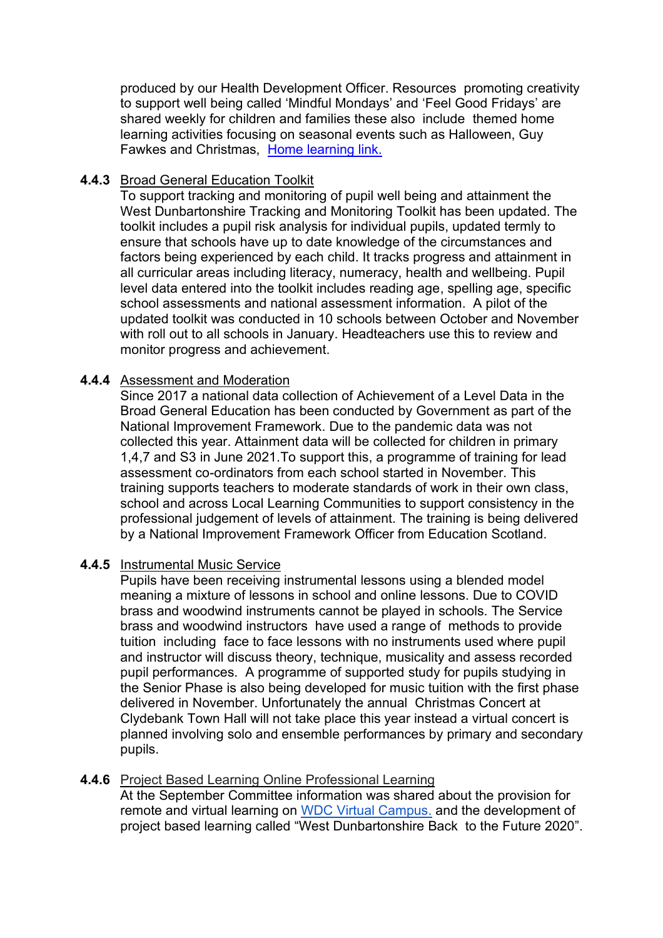produced by our Health Development Officer. Resources promoting creativity to support well being called 'Mindful Mondays' and 'Feel Good Fridays' are shared weekly for children and families these also include themed home learning activities focusing on seasonal events such as Halloween, Guy Fawkes and Christmas, [Home learning link.](https://sites.google.com/ourcloud.buzz/public/home-challenge-books?authuser=0)

# **4.4.3** Broad General Education Toolkit

To support tracking and monitoring of pupil well being and attainment the West Dunbartonshire Tracking and Monitoring Toolkit has been updated. The toolkit includes a pupil risk analysis for individual pupils, updated termly to ensure that schools have up to date knowledge of the circumstances and factors being experienced by each child. It tracks progress and attainment in all curricular areas including literacy, numeracy, health and wellbeing. Pupil level data entered into the toolkit includes reading age, spelling age, specific school assessments and national assessment information. A pilot of the updated toolkit was conducted in 10 schools between October and November with roll out to all schools in January. Headteachers use this to review and monitor progress and achievement.

## **4.4.4** Assessment and Moderation

Since 2017 a national data collection of Achievement of a Level Data in the Broad General Education has been conducted by Government as part of the National Improvement Framework. Due to the pandemic data was not collected this year. Attainment data will be collected for children in primary 1,4,7 and S3 in June 2021.To support this, a programme of training for lead assessment co-ordinators from each school started in November. This training supports teachers to moderate standards of work in their own class, school and across Local Learning Communities to support consistency in the professional judgement of levels of attainment. The training is being delivered by a National Improvement Framework Officer from Education Scotland.

# **4.4.5** Instrumental Music Service

Pupils have been receiving instrumental lessons using a blended model meaning a mixture of lessons in school and online lessons. Due to COVID brass and woodwind instruments cannot be played in schools. The Service brass and woodwind instructors have used a range of methods to provide tuition including face to face lessons with no instruments used where pupil and instructor will discuss theory, technique, musicality and assess recorded pupil performances. A programme of supported study for pupils studying in the Senior Phase is also being developed for music tuition with the first phase delivered in November. Unfortunately the annual Christmas Concert at Clydebank Town Hall will not take place this year instead a virtual concert is planned involving solo and ensemble performances by primary and secondary pupils.

# **4.4.6** Project Based Learning Online Professional Learning

At the September Committee information was shared about the provision for remote and virtual learning on [WDC Virtual Campus.](https://sites.google.com/ourcloud.buzz/wdcvirtualschool/home) and the development of project based learning called "West Dunbartonshire [Back to the Future 2020](https://youtu.be/KwiDUYd34XM)".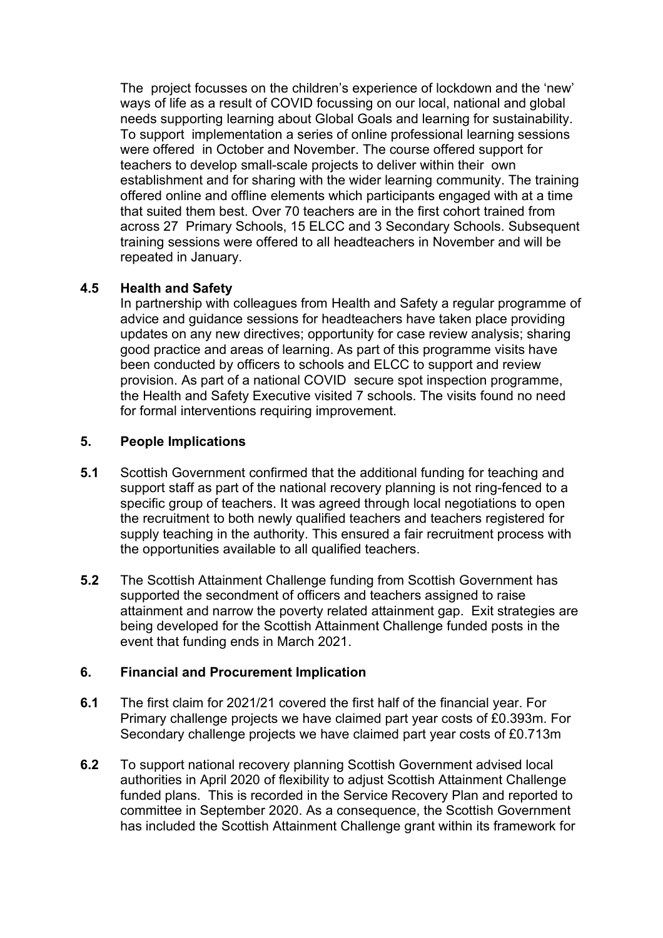The project focusses on the children's experience of lockdown and the 'new' ways of life as a result of COVID focussing on our local, national and global needs supporting learning about Global Goals and learning for sustainability. To support implementation a series of online professional learning sessions were offered in October and November. The course offered support for teachers to develop small-scale projects to deliver within their own establishment and for sharing with the wider learning community. The training offered online and offline elements which participants engaged with at a time that suited them best. Over 70 teachers are in the first cohort trained from across 27 Primary Schools, 15 ELCC and 3 Secondary Schools. Subsequent training sessions were offered to all headteachers in November and will be repeated in January.

## **4.5 Health and Safety**

In partnership with colleagues from Health and Safety a regular programme of advice and guidance sessions for headteachers have taken place providing updates on any new directives; opportunity for case review analysis; sharing good practice and areas of learning. As part of this programme visits have been conducted by officers to schools and ELCC to support and review provision. As part of a national COVID secure spot inspection programme, the Health and Safety Executive visited 7 schools. The visits found no need for formal interventions requiring improvement.

### **5. People Implications**

- **5.1** Scottish Government confirmed that the additional funding for teaching and support staff as part of the national recovery planning is not ring-fenced to a specific group of teachers. It was agreed through local negotiations to open the recruitment to both newly qualified teachers and teachers registered for supply teaching in the authority. This ensured a fair recruitment process with the opportunities available to all qualified teachers.
- **5.2** The Scottish Attainment Challenge funding from Scottish Government has supported the secondment of officers and teachers assigned to raise attainment and narrow the poverty related attainment gap. Exit strategies are being developed for the Scottish Attainment Challenge funded posts in the event that funding ends in March 2021.

# **6. Financial and Procurement Implication**

- **6.1** The first claim for 2021/21 covered the first half of the financial year. For Primary challenge projects we have claimed part year costs of £0.393m. For Secondary challenge projects we have claimed part year costs of £0.713m
- **6.2** To support national recovery planning Scottish Government advised local authorities in April 2020 of flexibility to adjust Scottish Attainment Challenge funded plans. This is recorded in the Service Recovery Plan and reported to committee in September 2020. As a consequence, the Scottish Government has included the Scottish Attainment Challenge grant within its framework for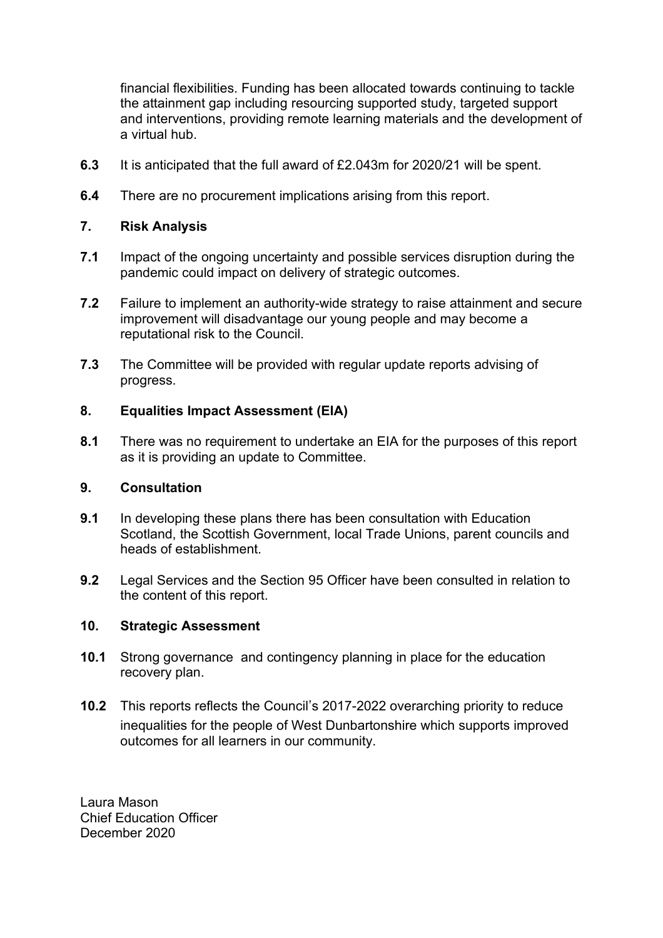financial flexibilities. Funding has been allocated towards continuing to tackle the attainment gap including resourcing supported study, targeted support and interventions, providing remote learning materials and the development of a virtual hub.

- **6.3** It is anticipated that the full award of £2.043m for 2020/21 will be spent.
- **6.4** There are no procurement implications arising from this report.

## **7. Risk Analysis**

- **7.1** Impact of the ongoing uncertainty and possible services disruption during the pandemic could impact on delivery of strategic outcomes.
- **7.2** Failure to implement an authority-wide strategy to raise attainment and secure improvement will disadvantage our young people and may become a reputational risk to the Council.
- **7.3** The Committee will be provided with regular update reports advising of progress.

## **8. Equalities Impact Assessment (EIA)**

**8.1** There was no requirement to undertake an EIA for the purposes of this report as it is providing an update to Committee.

## **9. Consultation**

- **9.1** In developing these plans there has been consultation with Education Scotland, the Scottish Government, local Trade Unions, parent councils and heads of establishment.
- **9.2** Legal Services and the Section 95 Officer have been consulted in relation to the content of this report.

### **10. Strategic Assessment**

- **10.1** Strong governance and contingency planning in place for the education recovery plan.
- **10.2** This reports reflects the Council's 2017-2022 overarching priority to reduce inequalities for the people of West Dunbartonshire which supports improved outcomes for all learners in our community.

Laura Mason Chief Education Officer December 2020